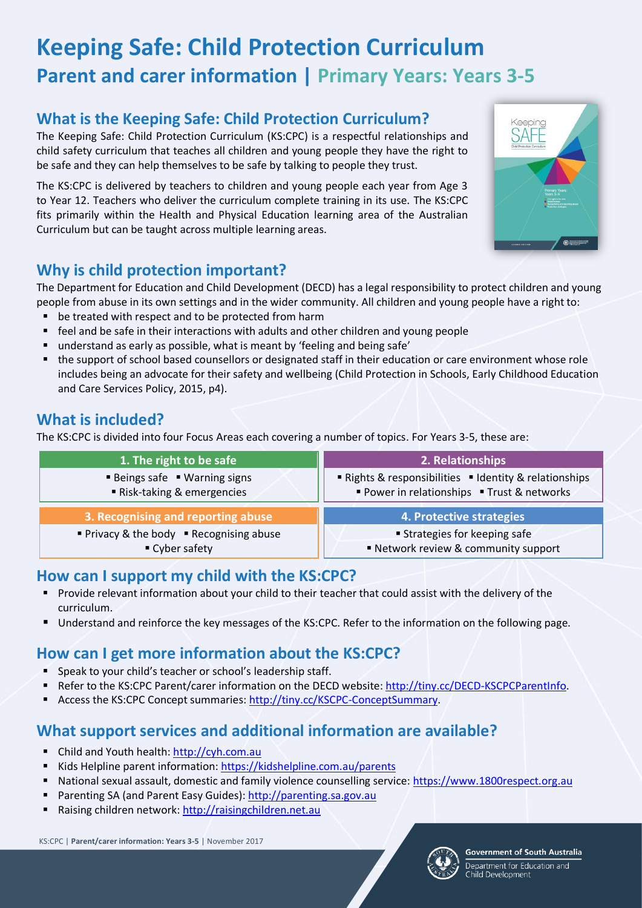# **Keeping Safe: Child Protection Curriculum Parent and carer information | Primary Years: Years 3-5**

# **What is the Keeping Safe: Child Protection Curriculum?**

The Keeping Safe: Child Protection Curriculum (KS:CPC) is a respectful relationships and child safety curriculum that teaches all children and young people they have the right to be safe and they can help themselves to be safe by talking to people they trust.

The KS:CPC is delivered by teachers to children and young people each year from Age 3 to Year 12. Teachers who deliver the curriculum complete training in its use. The KS:CPC fits primarily within the Health and Physical Education learning area of the Australian Curriculum but can be taught across multiple learning areas.



# **Why is child protection important?**

The Department for Education and Child Development (DECD) has a legal responsibility to protect children and young people from abuse in its own settings and in the wider community. All children and young people have a right to:

- be treated with respect and to be protected from harm
- feel and be safe in their interactions with adults and other children and young people
- understand as early as possible, what is meant by 'feeling and being safe'
- the support of school based counsellors or designated staff in their education or care environment whose role includes being an advocate for their safety and wellbeing (Child Protection in Schools, Early Childhood Education and Care Services Policy, 2015, p4).

# **What is included?**

The KS:CPC is divided into four Focus Areas each covering a number of topics. For Years 3-5, these are:

| 1. The right to be safe                                    | 2. Relationships                                                                                    |
|------------------------------------------------------------|-----------------------------------------------------------------------------------------------------|
| ■ Beings safe ■ Warning signs<br>Risk-taking & emergencies | ■ Rights & responsibilities ■ Identity & relationships<br>Power in relationships • Trust & networks |
|                                                            |                                                                                                     |
| 3. Recognising and reporting abuse                         | 4. Protective strategies                                                                            |
| ■ Privacy & the body ■ Recognising abuse                   | <b>Strategies for keeping safe</b>                                                                  |

# **How can I support my child with the KS:CPC?**

- **Provide relevant information about your child to their teacher that could assist with the delivery of the** curriculum.
- Understand and reinforce the key messages of the KS:CPC. Refer to the information on the following page.

# **How can I get more information about the KS:CPC?**

- Speak to your child's teacher or school's leadership staff.
- Refer to the KS:CPC Parent/carer information on the DECD website[: http://tiny.cc/DECD-KSCPCParentInfo.](http://tiny.cc/DECD-KSCPCParentInfo)
- Access the KS:CPC Concept summaries: [http://tiny.cc/KSCPC-ConceptSummary.](http://tiny.cc/KSCPC-ConceptSummary)

# **What support services and additional information are available?**

- Child and Youth health[: http://cyh.com.au](http://cyh.com.au/)
- Kids Helpline parent information[: https://kidshelpline.com.au/parents](https://kidshelpline.com.au/parents)
- National sexual assault, domestic and family violence counselling service: [https://www.1800respect.org.au](https://www.1800respect.org.au/)
- Parenting SA (and Parent Easy Guides): [http://parenting.sa.gov.au](http://parenting.sa.gov.au/)
- Raising children network[: http://raisingchildren.net.au](http://raisingchildren.net.au/)

KS:CPC | **Parent/carer information: Years 3-5** | November 2017